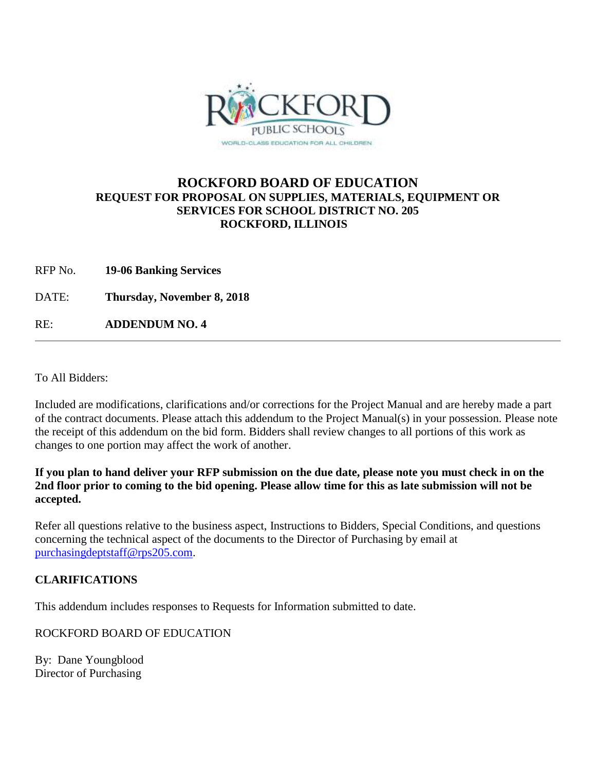

## **ROCKFORD BOARD OF EDUCATION REQUEST FOR PROPOSAL ON SUPPLIES, MATERIALS, EQUIPMENT OR SERVICES FOR SCHOOL DISTRICT NO. 205 ROCKFORD, ILLINOIS**

RFP No. **19-06 Banking Services**

DATE: **Thursday, November 8, 2018**

RE: **ADDENDUM NO. 4**

To All Bidders:

Included are modifications, clarifications and/or corrections for the Project Manual and are hereby made a part of the contract documents. Please attach this addendum to the Project Manual(s) in your possession. Please note the receipt of this addendum on the bid form. Bidders shall review changes to all portions of this work as changes to one portion may affect the work of another.

**If you plan to hand deliver your RFP submission on the due date, please note you must check in on the 2nd floor prior to coming to the bid opening. Please allow time for this as late submission will not be accepted.**

Refer all questions relative to the business aspect, Instructions to Bidders, Special Conditions, and questions concerning the technical aspect of the documents to the Director of Purchasing by email at [purchasingdeptstaff@rps205.com.](mailto:purchasingdeptstaff@rps205.com)

## **CLARIFICATIONS**

This addendum includes responses to Requests for Information submitted to date.

ROCKFORD BOARD OF EDUCATION

By: Dane Youngblood Director of Purchasing